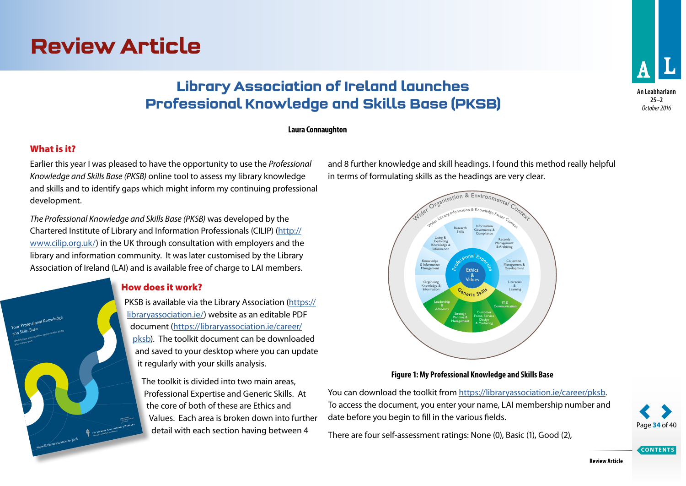# **Review Article**

## Library Association of **Ireland launches Professional Knowledge and Skills Base (PKSB)** skills have been set within the **wider library, information and**

#### **Laura Connaughton**

#### What is it?

Your Professional Knowledge and Skills Base Ind Skills Das<br>Identify gaps and maximize opportunities along<br>Identify gap<sub>ro</sub>nath

www.libraryassociation.ie/pksb

denum offer path<br>your career path

Earlier this year I was pleased to have the opportunity to use the *Professional Knowledge and Skills Base (PKSB)* online tool to assess my library knowledge and skills and to identify gaps which might inform my continuing professional development.

*The Professional Knowledge and Skills Base (PKSB)* was developed by the Chartered Institute of Library and Information Professionals (CILIP) [\(http://](http://www.cilip.org.uk/) [www.cilip.org.uk/\)](http://www.cilip.org.uk/) in the UK through consultation with employers and the library and information community. It was later customised by the Library Association of Ireland (LAI) and is available free of charge to LAI members.

#### How does it work?

PKSB is available via the Library Association ([https://](https://libraryassociation.ie/) [libraryassociation.ie/](https://libraryassociation.ie/)) website as an editable PDF document ([https://libraryassociation.ie/career/](https://libraryassociation.ie/career/pksb) [pksb\)](https://libraryassociation.ie/career/pksb). The toolkit document can be downloaded and saved to your desktop where you can update it regularly with your skills analysis.

The toolkit is divided into two main areas, Professional Expertise and Generic Skills. At the core of both of these are Ethics and Values. Each area is broken down into further detail with each section having between 4

and 8 further knowledge and skill headings. I found this method really helpful in terms of formulating skills as the headings are very clear.



**Figure 1: My Professional Knowledge and Skills Base**

You can download the toolkit from [https://libraryassociation.ie/career/pksb.](https://libraryassociation.ie/career/pksb) To access the document, you enter your name, LAI membership number and date before you begin to fill in the various fields.

There are four self-assessment ratings: None (0), Basic (1), Good (2),



**CONTENTS**



**An Leabharlann 25–2** *October 2016*